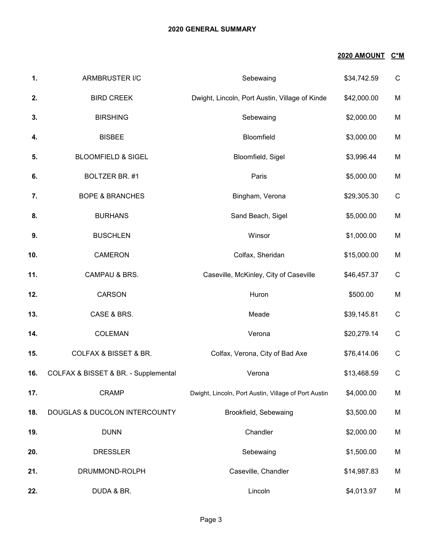### **2020 GENERAL SUMMARY**

## **2020 AMOUNT C\*M**

| 1.  | ARMBRUSTER I/C                       | Sebewaing                                            | \$34,742.59 | $\mathsf{C}$ |
|-----|--------------------------------------|------------------------------------------------------|-------------|--------------|
| 2.  | <b>BIRD CREEK</b>                    | Dwight, Lincoln, Port Austin, Village of Kinde       | \$42,000.00 | M            |
| 3.  | <b>BIRSHING</b>                      | Sebewaing                                            | \$2,000.00  | M            |
| 4.  | <b>BISBEE</b>                        | Bloomfield                                           | \$3,000.00  | M            |
| 5.  | <b>BLOOMFIELD &amp; SIGEL</b>        | Bloomfield, Sigel                                    | \$3,996.44  | M            |
| 6.  | BOLTZER BR. #1                       | Paris                                                | \$5,000.00  | M            |
| 7.  | <b>BOPE &amp; BRANCHES</b>           | Bingham, Verona                                      | \$29,305.30 | $\mathsf C$  |
| 8.  | <b>BURHANS</b>                       | Sand Beach, Sigel                                    | \$5,000.00  | M            |
| 9.  | <b>BUSCHLEN</b>                      | Winsor                                               | \$1,000.00  | M            |
| 10. | <b>CAMERON</b>                       | Colfax, Sheridan                                     | \$15,000.00 | M            |
| 11. | CAMPAU & BRS.                        | Caseville, McKinley, City of Caseville               | \$46,457.37 | $\mathsf C$  |
| 12. | <b>CARSON</b>                        | Huron                                                | \$500.00    | M            |
| 13. | CASE & BRS.                          | Meade                                                | \$39,145.81 | $\mathsf C$  |
| 14. | <b>COLEMAN</b>                       | Verona                                               | \$20,279.14 | $\mathsf C$  |
| 15. | <b>COLFAX &amp; BISSET &amp; BR.</b> | Colfax, Verona, City of Bad Axe                      | \$76,414.06 | $\mathsf C$  |
| 16. | COLFAX & BISSET & BR. - Supplemental | Verona                                               | \$13,468.59 | $\mathsf C$  |
| 17. | <b>CRAMP</b>                         | Dwight, Lincoln, Port Austin, Village of Port Austin | \$4,000.00  | M            |
| 18. | DOUGLAS & DUCOLON INTERCOUNTY        | Brookfield, Sebewaing                                | \$3,500.00  | M            |
| 19. | <b>DUNN</b>                          | Chandler                                             | \$2,000.00  | M            |
| 20. | <b>DRESSLER</b>                      | Sebewaing                                            | \$1,500.00  | M            |
| 21. | DRUMMOND-ROLPH                       | Caseville, Chandler                                  | \$14,987.83 | M            |
| 22. | DUDA & BR.                           | Lincoln                                              | \$4,013.97  | M            |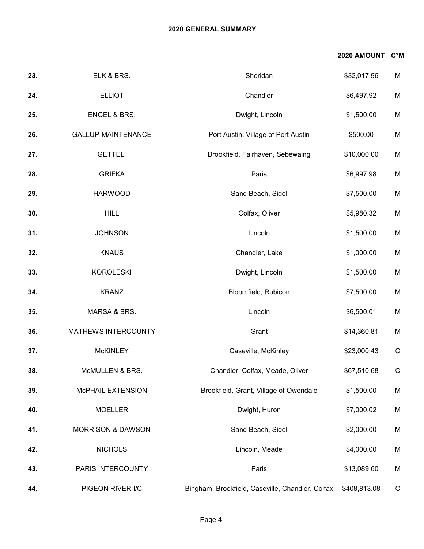### **2020 GENERAL SUMMARY**

| 2020 AMOUNT | C*M |
|-------------|-----|
|             |     |

| 23. | ELK & BRS.                   | Sheridan                                         | \$32,017.96  | M           |
|-----|------------------------------|--------------------------------------------------|--------------|-------------|
| 24. | <b>ELLIOT</b>                | Chandler                                         | \$6,497.92   | M           |
| 25. | ENGEL & BRS.                 | Dwight, Lincoln                                  | \$1,500.00   | M           |
| 26. | GALLUP-MAINTENANCE           | Port Austin, Village of Port Austin              | \$500.00     | M           |
| 27. | <b>GETTEL</b>                | Brookfield, Fairhaven, Sebewaing                 | \$10,000.00  | M           |
| 28. | <b>GRIFKA</b>                | Paris                                            | \$6,997.98   | M           |
| 29. | <b>HARWOOD</b>               | Sand Beach, Sigel                                | \$7,500.00   | M           |
| 30. | <b>HILL</b>                  | Colfax, Oliver                                   | \$5,980.32   | M           |
| 31. | <b>JOHNSON</b>               | Lincoln                                          | \$1,500.00   | M           |
| 32. | <b>KNAUS</b>                 | Chandler, Lake                                   | \$1,000.00   | M           |
| 33. | <b>KOROLESKI</b>             | Dwight, Lincoln                                  | \$1,500.00   | M           |
| 34. | <b>KRANZ</b>                 | Bloomfield, Rubicon                              | \$7,500.00   | M           |
| 35. | MARSA & BRS.                 | Lincoln                                          | \$6,500.01   | M           |
| 36. | MATHEWS INTERCOUNTY          | Grant                                            | \$14,360.81  | M           |
| 37. | <b>McKINLEY</b>              | Caseville, McKinley                              | \$23,000.43  | $\mathsf C$ |
| 38. | McMULLEN & BRS.              | Chandler, Colfax, Meade, Oliver                  | \$67,510.68  | $\mathsf C$ |
| 39. | McPHAIL EXTENSION            | Brookfield, Grant, Village of Owendale           | \$1,500.00   | M           |
| 40. | <b>MOELLER</b>               | Dwight, Huron                                    | \$7,000.02   | M           |
| 41. | <b>MORRISON &amp; DAWSON</b> | Sand Beach, Sigel                                | \$2,000.00   | M           |
| 42. | <b>NICHOLS</b>               | Lincoln, Meade                                   | \$4,000.00   | M           |
| 43. | PARIS INTERCOUNTY            | Paris                                            | \$13,089.60  | M           |
| 44. | PIGEON RIVER I/C             | Bingham, Brookfield, Caseville, Chandler, Colfax | \$408,813.08 | $\mathsf C$ |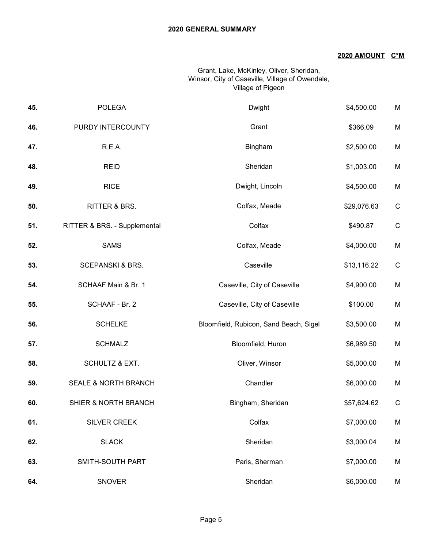## **2020 AMOUNT C\*M**

### Grant, Lake, McKinley, Oliver, Sheridan, Winsor, City of Caseville, Village of Owendale, Village of Pigeon

| 45. | <b>POLEGA</b>                | Dwight                                 | \$4,500.00  | M           |
|-----|------------------------------|----------------------------------------|-------------|-------------|
| 46. | PURDY INTERCOUNTY            | Grant                                  | \$366.09    | M           |
| 47. | R.E.A.                       | Bingham                                | \$2,500.00  | M           |
| 48. | <b>REID</b>                  | Sheridan                               | \$1,003.00  | M           |
| 49. | <b>RICE</b>                  | Dwight, Lincoln                        | \$4,500.00  | M           |
| 50. | RITTER & BRS.                | Colfax, Meade                          | \$29,076.63 | $\mathsf C$ |
| 51. | RITTER & BRS. - Supplemental | Colfax                                 | \$490.87    | $\mathsf C$ |
| 52. | <b>SAMS</b>                  | Colfax, Meade                          | \$4,000.00  | M           |
| 53. | <b>SCEPANSKI &amp; BRS.</b>  | Caseville                              | \$13,116.22 | $\mathsf C$ |
| 54. | SCHAAF Main & Br. 1          | Caseville, City of Caseville           | \$4,900.00  | M           |
| 55. | SCHAAF - Br. 2               | Caseville, City of Caseville           | \$100.00    | M           |
| 56. | <b>SCHELKE</b>               | Bloomfield, Rubicon, Sand Beach, Sigel | \$3,500.00  | M           |
| 57. | <b>SCHMALZ</b>               | Bloomfield, Huron                      | \$6,989.50  | M           |
| 58. | <b>SCHULTZ &amp; EXT.</b>    | Oliver, Winsor                         | \$5,000.00  | M           |
| 59. | SEALE & NORTH BRANCH         | Chandler                               | \$6,000.00  | M           |
| 60. | SHIER & NORTH BRANCH         | Bingham, Sheridan                      | \$57,624.62 | $\mathsf C$ |
| 61. | SILVER CREEK                 | Colfax                                 | \$7,000.00  | M           |
| 62. | <b>SLACK</b>                 | Sheridan                               | \$3,000.04  | M           |
| 63. | SMITH-SOUTH PART             | Paris, Sherman                         | \$7,000.00  | M           |
| 64. | <b>SNOVER</b>                | Sheridan                               | \$6,000.00  | M           |